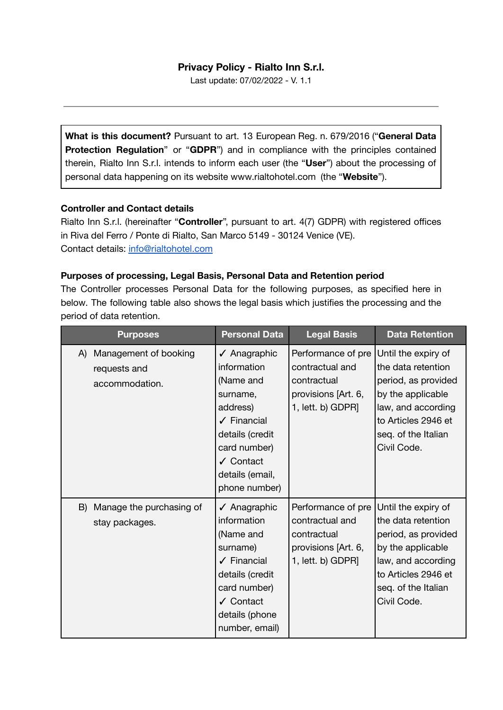# **Privacy Policy - Rialto Inn S.r.l.**

Last update: 07/02/2022 - V. 1.1

**What is this document?** Pursuant to art. 13 European Reg. n. 679/2016 ("**General Data Protection Regulation**" or "**GDPR**") and in compliance with the principles contained therein, Rialto Inn S.r.l. intends to inform each user (the "**User**") about the processing of personal data happening on its website [www.rialtohotel.com](http://www.rialtohotel.com) (the "**Website**").

#### **Controller and Contact details**

Rialto Inn S.r.l. (hereinafter "**Controller**", pursuant to art. 4(7) GDPR) with registered offices in Riva del Ferro / Ponte di Rialto, San Marco 5149 - 30124 Venice (VE). Contact details: [info@rialtohotel.com](mailto:info@rialtohotel.com)

# **Purposes of processing, Legal Basis, Personal Data and Retention period**

The Controller processes Personal Data for the following purposes, as specified here in below. The following table also shows the legal basis which justifies the processing and the period of data retention.

| <b>Purposes</b>                                               | <b>Personal Data</b>                                                                                                                                                                   | <b>Legal Basis</b>                                                                               | <b>Data Retention</b>                                                                                                                                                    |
|---------------------------------------------------------------|----------------------------------------------------------------------------------------------------------------------------------------------------------------------------------------|--------------------------------------------------------------------------------------------------|--------------------------------------------------------------------------------------------------------------------------------------------------------------------------|
| Management of booking<br>A)<br>requests and<br>accommodation. | √ Anagraphic<br>information<br>(Name and<br>surname,<br>address)<br>$\sqrt{\phantom{a}}$ Financial<br>details (credit<br>card number)<br>✔ Contact<br>details (email,<br>phone number) | Performance of pre<br>contractual and<br>contractual<br>provisions [Art. 6,<br>1, lett. b) GDPR] | Until the expiry of<br>the data retention<br>period, as provided<br>by the applicable<br>law, and according<br>to Articles 2946 et<br>seq. of the Italian<br>Civil Code. |
| Manage the purchasing of<br>B)<br>stay packages.              | √ Anagraphic<br>information<br>(Name and<br>surname)<br>$\sqrt{\phantom{a}}$ Financial<br>details (credit<br>card number)<br>✔ Contact<br>details (phone<br>number, email)             | Performance of pre<br>contractual and<br>contractual<br>provisions [Art. 6,<br>1, lett. b) GDPR] | Until the expiry of<br>the data retention<br>period, as provided<br>by the applicable<br>law, and according<br>to Articles 2946 et<br>seq. of the Italian<br>Civil Code. |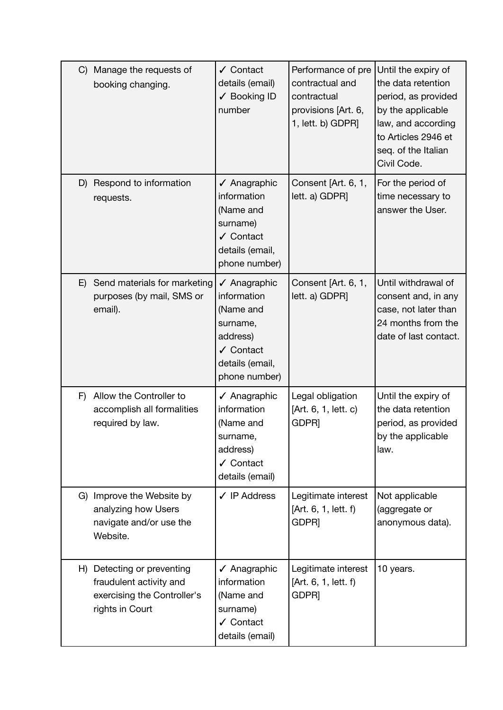| C  | Manage the requests of<br>booking changing.                                                             | ✔ Contact<br>details (email)<br>✔ Booking ID<br>number                                                                               | Performance of pre<br>contractual and<br>contractual<br>provisions [Art. 6,<br>1, lett. b) GDPR] | Until the expiry of<br>the data retention<br>period, as provided<br>by the applicable<br>law, and according<br>to Articles 2946 et<br>seq. of the Italian<br>Civil Code. |
|----|---------------------------------------------------------------------------------------------------------|--------------------------------------------------------------------------------------------------------------------------------------|--------------------------------------------------------------------------------------------------|--------------------------------------------------------------------------------------------------------------------------------------------------------------------------|
| D) | Respond to information<br>requests.                                                                     | √ Anagraphic<br>information<br>(Name and<br>surname)<br>✔ Contact<br>details (email,<br>phone number)                                | Consent [Art. 6, 1,<br>lett. a) GDPR]                                                            | For the period of<br>time necessary to<br>answer the User.                                                                                                               |
| E) | Send materials for marketing<br>purposes (by mail, SMS or<br>email).                                    | $\sqrt{\phantom{a}}$ Anagraphic<br>information<br>(Name and<br>surname,<br>address)<br>✔ Contact<br>details (email,<br>phone number) | Consent [Art. 6, 1,<br>lett. a) GDPR]                                                            | Until withdrawal of<br>consent and, in any<br>case, not later than<br>24 months from the<br>date of last contact.                                                        |
| F) | Allow the Controller to<br>accomplish all formalities<br>required by law.                               | $\sqrt{}$ Anagraphic<br>information<br>(Name and<br>surname.<br>address)<br>√ Contact<br>details (email)                             | Legal obligation<br>[Art. 6, 1, lett. c)<br>GDPR]                                                | Until the expiry of<br>the data retention<br>period, as provided<br>by the applicable<br>law.                                                                            |
|    | G) Improve the Website by<br>analyzing how Users<br>navigate and/or use the<br>Website.                 | $\checkmark$ IP Address                                                                                                              | Legitimate interest<br>[Art. 6, 1, lett. f)<br>GDPR <sub>]</sub>                                 | Not applicable<br>(aggregate or<br>anonymous data).                                                                                                                      |
|    | H) Detecting or preventing<br>fraudulent activity and<br>exercising the Controller's<br>rights in Court | ✔ Anagraphic<br>information<br>(Name and<br>surname)<br>√ Contact<br>details (email)                                                 | Legitimate interest<br>[Art. 6, 1, lett. f)<br>GDPR]                                             | 10 years.                                                                                                                                                                |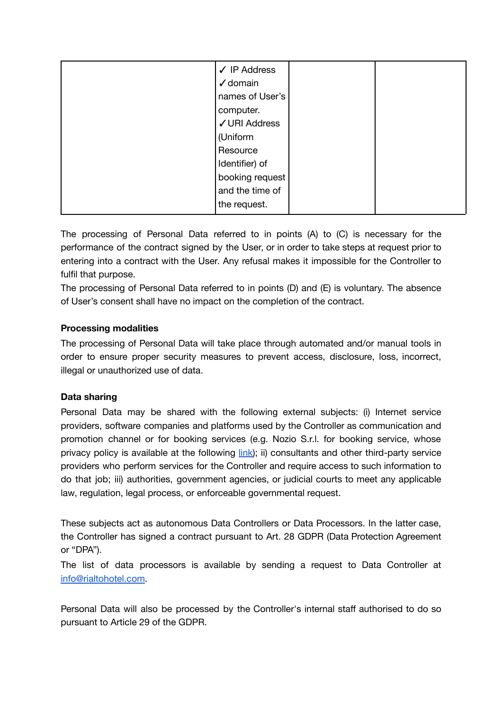| $\checkmark$ IP Address |  |
|-------------------------|--|
|                         |  |
| $\checkmark$ domain     |  |
| names of User's         |  |
| computer.               |  |
| √ URI Address           |  |
| (Uniform                |  |
| Resource                |  |
| Identifier) of          |  |
| booking request         |  |
| and the time of         |  |
| the request.            |  |

The processing of Personal Data referred to in points (A) to (C) is necessary for the performance of the contract signed by the User, or in order to take steps at request prior to entering into a contract with the User. Any refusal makes it impossible for the Controller to fulfil that purpose.

The processing of Personal Data referred to in points (D) and (E) is voluntary. The absence of User's consent shall have no impact on the completion of the contract.

# **Processing modalities**

The processing of Personal Data will take place through automated and/or manual tools in order to ensure proper security measures to prevent access, disclosure, loss, incorrect, illegal or unauthorized use of data.

# **Data sharing**

Personal Data may be shared with the following external subjects: (i) Internet service providers, software companies and platforms used by the Controller as communication and promotion channel or for booking services (e.g. Nozio S.r.l. for booking service, whose privacy policy is available at the following *link*); ii) consultants and other third-party service providers who perform services for the Controller and require access to such information to do that job; iii) authorities, government agencies, or judicial courts to meet any applicable law, regulation, legal process, or enforceable governmental request.

These subjects act as autonomous Data Controllers or Data Processors. In the latter case, the Controller has signed a contract pursuant to Art. 28 GDPR (Data Protection Agreement or "DPA").

The list of data processors is available by sending a request to Data Controller at [info@rialtohotel.com.](mailto:info@rialtohotel.com)

Personal Data will also be processed by the Controller's internal staff authorised to do so pursuant to Article 29 of the GDPR.